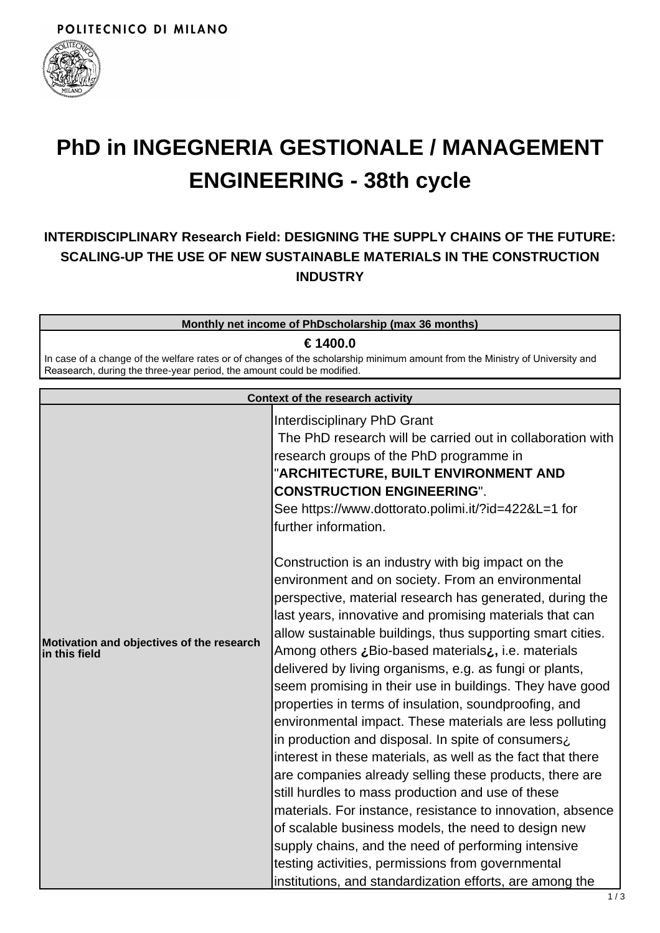

## **PhD in INGEGNERIA GESTIONALE / MANAGEMENT ENGINEERING - 38th cycle**

## **INTERDISCIPLINARY Research Field: DESIGNING THE SUPPLY CHAINS OF THE FUTURE: SCALING-UP THE USE OF NEW SUSTAINABLE MATERIALS IN THE CONSTRUCTION INDUSTRY**

**Monthly net income of PhDscholarship (max 36 months) € 1400.0** In case of a change of the welfare rates or of changes of the scholarship minimum amount from the Ministry of University and Reasearch, during the three-year period, the amount could be modified.

| Context of the research activity                           |                                                                                                                                                                                                                                                                                                                                                                                                                                                                                                                                                                                                                                                                                                                                                                                                                                                                                                                                                                                                                                                                                                                                   |
|------------------------------------------------------------|-----------------------------------------------------------------------------------------------------------------------------------------------------------------------------------------------------------------------------------------------------------------------------------------------------------------------------------------------------------------------------------------------------------------------------------------------------------------------------------------------------------------------------------------------------------------------------------------------------------------------------------------------------------------------------------------------------------------------------------------------------------------------------------------------------------------------------------------------------------------------------------------------------------------------------------------------------------------------------------------------------------------------------------------------------------------------------------------------------------------------------------|
|                                                            | Interdisciplinary PhD Grant<br>The PhD research will be carried out in collaboration with<br>research groups of the PhD programme in<br>"ARCHITECTURE, BUILT ENVIRONMENT AND<br><b>CONSTRUCTION ENGINEERING".</b><br>See https://www.dottorato.polimi.it/?id=422&L=1 for<br>further information.                                                                                                                                                                                                                                                                                                                                                                                                                                                                                                                                                                                                                                                                                                                                                                                                                                  |
| Motivation and objectives of the research<br>in this field | Construction is an industry with big impact on the<br>environment and on society. From an environmental<br>perspective, material research has generated, during the<br>last years, innovative and promising materials that can<br>allow sustainable buildings, thus supporting smart cities.<br>Among others ¿Bio-based materials ¿, i.e. materials<br>delivered by living organisms, e.g. as fungi or plants,<br>seem promising in their use in buildings. They have good<br>properties in terms of insulation, soundproofing, and<br>environmental impact. These materials are less polluting<br>in production and disposal. In spite of consumers,<br>interest in these materials, as well as the fact that there<br>are companies already selling these products, there are<br>still hurdles to mass production and use of these<br>materials. For instance, resistance to innovation, absence<br>of scalable business models, the need to design new<br>supply chains, and the need of performing intensive<br>testing activities, permissions from governmental<br>institutions, and standardization efforts, are among the |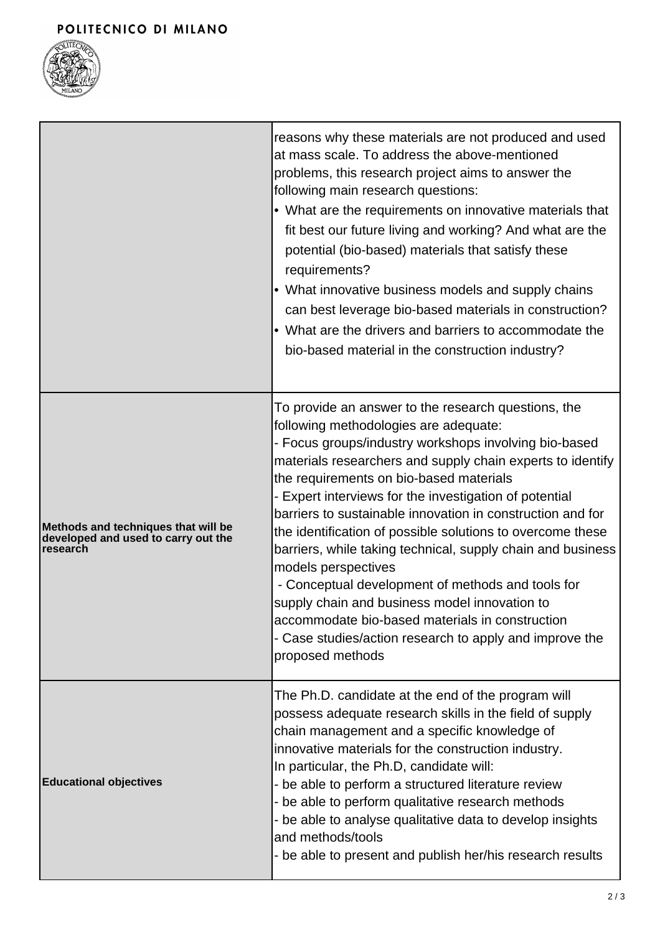## POLITECNICO DI MILANO



|                                                                                        | reasons why these materials are not produced and used<br>at mass scale. To address the above-mentioned<br>problems, this research project aims to answer the<br>following main research questions:<br>• What are the requirements on innovative materials that<br>fit best our future living and working? And what are the<br>potential (bio-based) materials that satisfy these<br>requirements?<br>• What innovative business models and supply chains<br>can best leverage bio-based materials in construction?<br>• What are the drivers and barriers to accommodate the<br>bio-based material in the construction industry?                                                                                                                                                   |
|----------------------------------------------------------------------------------------|------------------------------------------------------------------------------------------------------------------------------------------------------------------------------------------------------------------------------------------------------------------------------------------------------------------------------------------------------------------------------------------------------------------------------------------------------------------------------------------------------------------------------------------------------------------------------------------------------------------------------------------------------------------------------------------------------------------------------------------------------------------------------------|
| Methods and techniques that will be<br>developed and used to carry out the<br>research | To provide an answer to the research questions, the<br>following methodologies are adequate:<br>- Focus groups/industry workshops involving bio-based<br>materials researchers and supply chain experts to identify<br>the requirements on bio-based materials<br>- Expert interviews for the investigation of potential<br>barriers to sustainable innovation in construction and for<br>the identification of possible solutions to overcome these<br>barriers, while taking technical, supply chain and business<br>models perspectives<br>- Conceptual development of methods and tools for<br>supply chain and business model innovation to<br>accommodate bio-based materials in construction<br>- Case studies/action research to apply and improve the<br>proposed methods |
| <b>Educational objectives</b>                                                          | The Ph.D. candidate at the end of the program will<br>possess adequate research skills in the field of supply<br>chain management and a specific knowledge of<br>innovative materials for the construction industry.<br>In particular, the Ph.D, candidate will:<br>- be able to perform a structured literature review<br>- be able to perform qualitative research methods<br>- be able to analyse qualitative data to develop insights<br>and methods/tools<br>- be able to present and publish her/his research results                                                                                                                                                                                                                                                        |